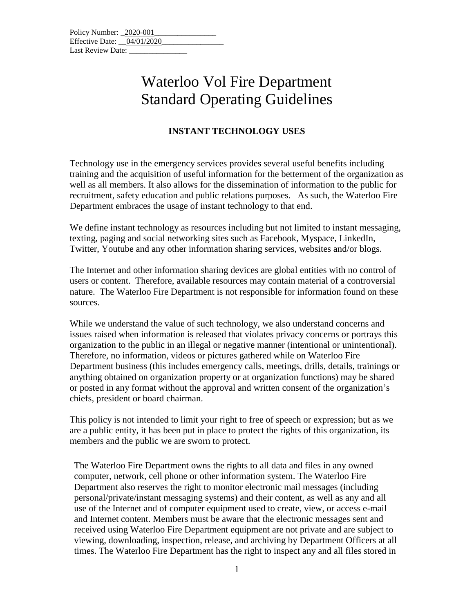| Policy Number: 2020-001      |  |
|------------------------------|--|
| Effective Date: $04/01/2020$ |  |
| Last Review Date:            |  |

## Waterloo Vol Fire Department Standard Operating Guidelines

## **INSTANT TECHNOLOGY USES**

Technology use in the emergency services provides several useful benefits including training and the acquisition of useful information for the betterment of the organization as well as all members. It also allows for the dissemination of information to the public for recruitment, safety education and public relations purposes. As such, the Waterloo Fire Department embraces the usage of instant technology to that end.

We define instant technology as resources including but not limited to instant messaging, texting, paging and social networking sites such as Facebook, Myspace, LinkedIn, Twitter, Youtube and any other information sharing services, websites and/or blogs.

The Internet and other information sharing devices are global entities with no control of users or content. Therefore, available resources may contain material of a controversial nature. The Waterloo Fire Department is not responsible for information found on these sources.

While we understand the value of such technology, we also understand concerns and issues raised when information is released that violates privacy concerns or portrays this organization to the public in an illegal or negative manner (intentional or unintentional). Therefore, no information, videos or pictures gathered while on Waterloo Fire Department business (this includes emergency calls, meetings, drills, details, trainings or anything obtained on organization property or at organization functions) may be shared or posted in any format without the approval and written consent of the organization's chiefs, president or board chairman.

This policy is not intended to limit your right to free of speech or expression; but as we are a public entity, it has been put in place to protect the rights of this organization, its members and the public we are sworn to protect.

The Waterloo Fire Department owns the rights to all data and files in any owned computer, network, cell phone or other information system. The Waterloo Fire Department also reserves the right to monitor electronic mail messages (including personal/private/instant messaging systems) and their content, as well as any and all use of the Internet and of computer equipment used to create, view, or access e-mail and Internet content. Members must be aware that the electronic messages sent and received using Waterloo Fire Department equipment are not private and are subject to viewing, downloading, inspection, release, and archiving by Department Officers at all times. The Waterloo Fire Department has the right to inspect any and all files stored in